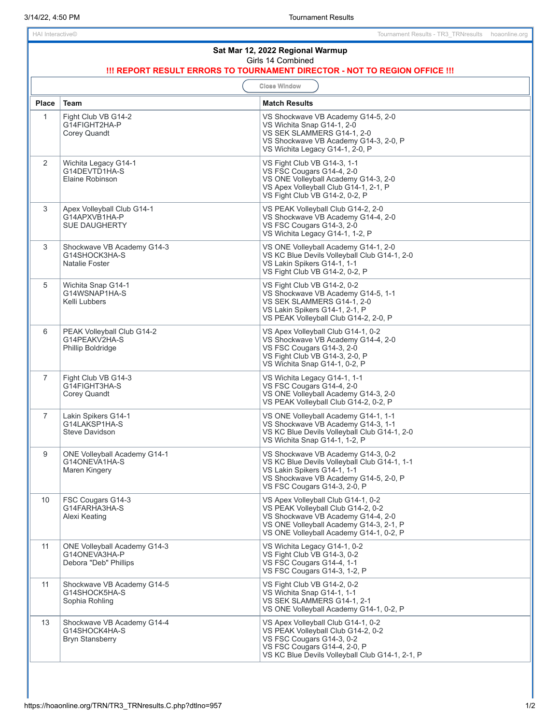| Sat Mar 12, 2022 Regional Warmup<br>Girls 14 Combined<br>!!! REPORT RESULT ERRORS TO TOURNAMENT DIRECTOR - NOT TO REGION OFFICE !!! |                                                                               |                                                                                                                                                                                                      |  |
|-------------------------------------------------------------------------------------------------------------------------------------|-------------------------------------------------------------------------------|------------------------------------------------------------------------------------------------------------------------------------------------------------------------------------------------------|--|
| <b>Close Window</b>                                                                                                                 |                                                                               |                                                                                                                                                                                                      |  |
| <b>Place</b>                                                                                                                        | <b>Team</b>                                                                   | <b>Match Results</b>                                                                                                                                                                                 |  |
| $\mathbf{1}$                                                                                                                        | Fight Club VB G14-2<br>G14FIGHT2HA-P<br><b>Corey Quandt</b>                   | VS Shockwave VB Academy G14-5, 2-0<br>VS Wichita Snap G14-1, 2-0<br>VS SEK SLAMMERS G14-1, 2-0<br>VS Shockwave VB Academy G14-3, 2-0, P<br>VS Wichita Legacy G14-1, 2-0, P                           |  |
| $\overline{2}$                                                                                                                      | Wichita Legacy G14-1<br>G14DEVTD1HA-S<br>Elaine Robinson                      | VS Fight Club VB G14-3, 1-1<br>VS FSC Cougars G14-4, 2-0<br>VS ONE Volleyball Academy G14-3, 2-0<br>VS Apex Volleyball Club G14-1, 2-1, P<br>VS Fight Club VB G14-2, 0-2, P                          |  |
| 3                                                                                                                                   | Apex Volleyball Club G14-1<br>G14APXVB1HA-P<br><b>SUE DAUGHERTY</b>           | VS PEAK Volleyball Club G14-2, 2-0<br>VS Shockwave VB Academy G14-4, 2-0<br>VS FSC Cougars G14-3, 2-0<br>VS Wichita Legacy G14-1, 1-2, P                                                             |  |
| 3                                                                                                                                   | Shockwave VB Academy G14-3<br>G14SHOCK3HA-S<br><b>Natalie Foster</b>          | VS ONE Volleyball Academy G14-1, 2-0<br>VS KC Blue Devils Volleyball Club G14-1, 2-0<br>VS Lakin Spikers G14-1, 1-1<br>VS Fight Club VB G14-2, 0-2, P                                                |  |
| 5                                                                                                                                   | Wichita Snap G14-1<br>G14WSNAP1HA-S<br>Kelli Lubbers                          | VS Fight Club VB G14-2, 0-2<br>VS Shockwave VB Academy G14-5, 1-1<br>VS SEK SLAMMERS G14-1, 2-0<br>VS Lakin Spikers G14-1, 2-1, P<br>VS PEAK Volleyball Club G14-2, 2-0, P                           |  |
| 6                                                                                                                                   | PEAK Volleyball Club G14-2<br>G14PEAKV2HA-S<br>Phillip Boldridge              | VS Apex Volleyball Club G14-1, 0-2<br>VS Shockwave VB Academy G14-4, 2-0<br>VS FSC Cougars G14-3, 2-0<br>VS Fight Club VB G14-3, 2-0, P<br>VS Wichita Snap G14-1, 0-2, P                             |  |
| $\overline{7}$                                                                                                                      | Fight Club VB G14-3<br>G14FIGHT3HA-S<br>Corey Quandt                          | VS Wichita Legacy G14-1, 1-1<br>VS FSC Cougars G14-4, 2-0<br>VS ONE Volleyball Academy G14-3, 2-0<br>VS PEAK Volleyball Club G14-2, 0-2, P                                                           |  |
| $\overline{7}$                                                                                                                      | Lakin Spikers G14-1<br>G14LAKSP1HA-S<br>Steve Davidson                        | VS ONE Volleyball Academy G14-1, 1-1<br>VS Shockwave VB Academy G14-3, 1-1<br>VS KC Blue Devils Volleyball Club G14-1, 2-0<br>VS Wichita Snap G14-1, 1-2, P                                          |  |
| 9                                                                                                                                   | <b>ONE Volleyball Academy G14-1</b><br>G14ONEVA1HA-S<br>Maren Kingery         | VS Shockwave VB Academy G14-3, 0-2<br>VS KC Blue Devils Volleyball Club G14-1, 1-1<br>VS Lakin Spikers G14-1, 1-1<br>VS Shockwave VB Academy G14-5, 2-0, P<br>VS FSC Cougars G14-3, 2-0, P           |  |
| 10                                                                                                                                  | FSC Cougars G14-3<br>G14FARHA3HA-S<br>Alexi Keating                           | VS Apex Volleyball Club G14-1, 0-2<br>VS PEAK Volleyball Club G14-2, 0-2<br>VS Shockwave VB Academy G14-4, 2-0<br>VS ONE Volleyball Academy G14-3, 2-1, P<br>VS ONE Volleyball Academy G14-1, 0-2, P |  |
| 11                                                                                                                                  | <b>ONE Volleyball Academy G14-3</b><br>G14ONEVA3HA-P<br>Debora "Deb" Phillips | VS Wichita Legacy G14-1, 0-2<br>VS Fight Club VB G14-3, 0-2<br>VS FSC Cougars G14-4, 1-1<br>VS FSC Cougars G14-3, 1-2, P                                                                             |  |
| 11                                                                                                                                  | Shockwave VB Academy G14-5<br>G14SHOCK5HA-S<br>Sophia Rohling                 | VS Fight Club VB G14-2, 0-2<br>VS Wichita Snap G14-1, 1-1<br>VS SEK SLAMMERS G14-1, 2-1<br>VS ONE Volleyball Academy G14-1, 0-2, P                                                                   |  |
| 13                                                                                                                                  | Shockwave VB Academy G14-4<br>G14SHOCK4HA-S<br><b>Bryn Stansberry</b>         | VS Apex Volleyball Club G14-1, 0-2<br>VS PEAK Volleyball Club G14-2, 0-2<br>VS FSC Cougars G14-3, 0-2<br>VS FSC Cougars G14-4, 2-0, P<br>VS KC Blue Devils Volleyball Club G14-1, 2-1, P             |  |